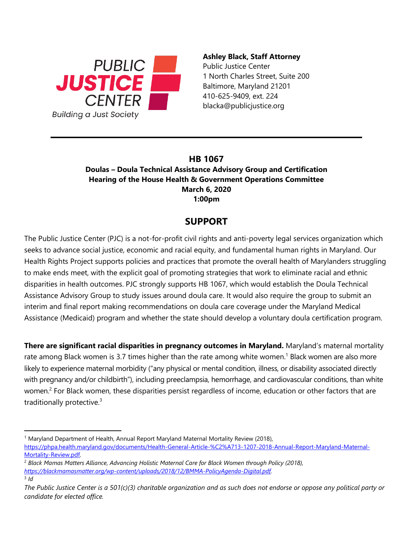

## **Ashley Black, Staff Attorney**

Public Justice Center 1 North Charles Street, Suite 200 Baltimore, Maryland 21201 blacka@publicjustice.org

## **HB 1067**

**Doulas – Doula Technical Assistance Advisory Group and Certification Hearing of the House Health & Government Operations Committee March 6, 2020 1:00pm**

## **SUPPORT**

The Public Justice Center (PJC) is a not-for-profit civil rights and anti-poverty legal services organization which seeks to advance social justice, economic and racial equity, and fundamental human rights in Maryland. Our Health Rights Project supports policies and practices that promote the overall health of Marylanders struggling to make ends meet, with the explicit goal of promoting strategies that work to eliminate racial and ethnic disparities in health outcomes. PJC strongly supports HB 1067, which would establish the Doula Technical Assistance Advisory Group to study issues around doula care. It would also require the group to submit an interim and final report making recommendations on doula care coverage under the Maryland Medical Assistance (Medicaid) program and whether the state should develop a voluntary doula certification program.

**There are significant racial disparities in pregnancy outcomes in Maryland.** Maryland's maternal mortality rate among Black women is 3.7 times higher than the rate among white women.<sup>1</sup> Black women are also more likely to experience maternal morbidity ("any physical or mental condition, illness, or disability associated directly with pregnancy and/or childbirth"), including preeclampsia, hemorrhage, and cardiovascular conditions, than white women.<sup>2</sup> For Black women, these disparities persist regardless of income, education or other factors that are traditionally protective.<sup>3</sup>

<sup>1</sup> Maryland Department of Health, Annual Report Maryland Maternal Mortality Review (2018),

[https://phpa.health.maryland.gov/documents/Health-General-Article-%C2%A713-1207-2018-Annual-Report-Maryland-Maternal-](https://phpa.health.maryland.gov/documents/Health-General-Article-%C2%A713-1207-2018-Annual-Report-Maryland-Maternal-Mortality-Review.pdf)[Mortality-Review.pdf.](https://phpa.health.maryland.gov/documents/Health-General-Article-%C2%A713-1207-2018-Annual-Report-Maryland-Maternal-Mortality-Review.pdf) 

<sup>2</sup> *Black Mamas Matters Alliance, Advancing Holistic Maternal Care for Black Women through Policy (2018), [https://blackmamasmatter.org/wp-content/uploads/2018/12/BMMA-PolicyAgenda-Digital.pdf.](https://blackmamasmatter.org/wp-content/uploads/2018/12/BMMA-PolicyAgenda-Digital.pdf)* 3 *Id*

*The Public Justice Center is a 501(c)(3) charitable organization and as such does not endorse or oppose any political party or candidate for elected office.*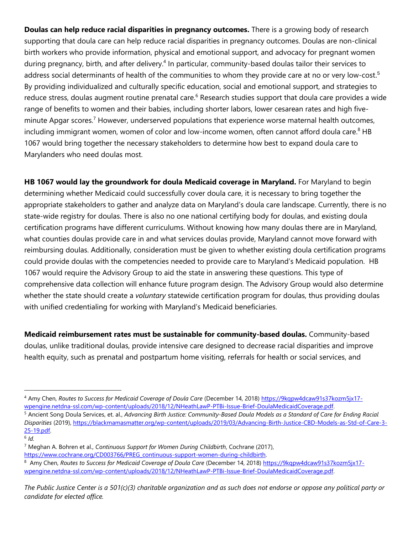**Doulas can help reduce racial disparities in pregnancy outcomes.** There is a growing body of research supporting that doula care can help reduce racial disparities in pregnancy outcomes. Doulas are non-clinical birth workers who provide information, physical and emotional support, and advocacy for pregnant women during pregnancy, birth, and after delivery.<sup>4</sup> In particular, community-based doulas tailor their services to address social determinants of health of the communities to whom they provide care at no or very low-cost.<sup>5</sup> By providing individualized and culturally specific education, social and emotional support, and strategies to reduce stress, doulas augment routine prenatal care.<sup>6</sup> Research studies support that doula care provides a wide range of benefits to women and their babies, including shorter labors, lower cesarean rates and high fiveminute Apgar scores.<sup>7</sup> However, underserved populations that experience worse maternal health outcomes, including immigrant women, women of color and low-income women, often cannot afford doula care.<sup>8</sup> HB 1067 would bring together the necessary stakeholders to determine how best to expand doula care to Marylanders who need doulas most.

**HB 1067 would lay the groundwork for doula Medicaid coverage in Maryland.** For Maryland to begin determining whether Medicaid could successfully cover doula care, it is necessary to bring together the appropriate stakeholders to gather and analyze data on Maryland's doula care landscape. Currently, there is no state-wide registry for doulas. There is also no one national certifying body for doulas, and existing doula certification programs have different curriculums. Without knowing how many doulas there are in Maryland, what counties doulas provide care in and what services doulas provide, Maryland cannot move forward with reimbursing doulas. Additionally, consideration must be given to whether existing doula certification programs could provide doulas with the competencies needed to provide care to Maryland's Medicaid population. HB 1067 would require the Advisory Group to aid the state in answering these questions. This type of comprehensive data collection will enhance future program design. The Advisory Group would also determine whether the state should create a *voluntary* statewide certification program for doulas, thus providing doulas with unified credentialing for working with Maryland's Medicaid beneficiaries.

**Medicaid reimbursement rates must be sustainable for community-based doulas.** Community-based doulas, unlike traditional doulas, provide intensive care designed to decrease racial disparities and improve health equity, such as prenatal and postpartum home visiting, referrals for health or social services, and

6 *Id.* 

<sup>4</sup> Amy Chen, *Routes to Success for Medicaid Coverage of Doula Care* (December 14, 2018[\) https://9kqpw4dcaw91s37kozm5jx17](https://9kqpw4dcaw91s37kozm5jx17-wpengine.netdna-ssl.com/wp-content/uploads/2018/12/NHeathLawP-PTBi-Issue-Brief-DoulaMedicaidCoverage.pdf) [wpengine.netdna-ssl.com/wp-content/uploads/2018/12/NHeathLawP-PTBi-Issue-Brief-DoulaMedicaidCoverage.pdf.](https://9kqpw4dcaw91s37kozm5jx17-wpengine.netdna-ssl.com/wp-content/uploads/2018/12/NHeathLawP-PTBi-Issue-Brief-DoulaMedicaidCoverage.pdf)

<sup>5</sup> Ancient Song Doula Services, et. al., *Advancing Birth Justice: Community-Based Doula Models as a Standard of Care for Ending Racial Disparities* (2019), [https://blackmamasmatter.org/wp-content/uploads/2019/03/Advancing-Birth-Justice-CBD-Models-as-Std-of-Care-3-](https://blackmamasmatter.org/wp-content/uploads/2019/03/Advancing-Birth-Justice-CBD-Models-as-Std-of-Care-3-25-19.pdf) [25-19.pdf.](https://blackmamasmatter.org/wp-content/uploads/2019/03/Advancing-Birth-Justice-CBD-Models-as-Std-of-Care-3-25-19.pdf)

<sup>7</sup> Meghan A. Bohren et al., *Continuous Support for Women During Childbirth*, Cochrane (2017),

[https://www.cochrane.org/CD003766/PREG\\_continuous-support-women-during-childbirth.](https://www.cochrane.org/CD003766/PREG_continuous-support-women-during-childbirth)

<sup>8</sup> Amy Chen, *Routes to Success for Medicaid Coverage of Doula Care* (December 14, 2018) [https://9kqpw4dcaw91s37kozm5jx17](https://9kqpw4dcaw91s37kozm5jx17-wpengine.netdna-ssl.com/wp-content/uploads/2018/12/NHeathLawP-PTBi-Issue-Brief-DoulaMedicaidCoverage.pdf) [wpengine.netdna-ssl.com/wp-content/uploads/2018/12/NHeathLawP-PTBi-Issue-Brief-DoulaMedicaidCoverage.pdf.](https://9kqpw4dcaw91s37kozm5jx17-wpengine.netdna-ssl.com/wp-content/uploads/2018/12/NHeathLawP-PTBi-Issue-Brief-DoulaMedicaidCoverage.pdf)

*The Public Justice Center is a 501(c)(3) charitable organization and as such does not endorse or oppose any political party or candidate for elected office.*